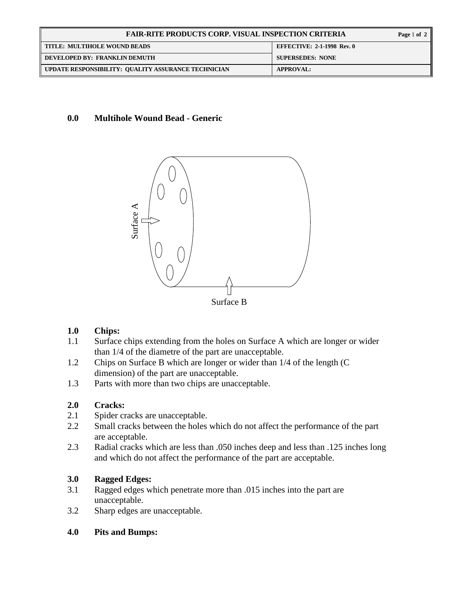| <b>FAIR-RITE PRODUCTS CORP. VISUAL INSPECTION CRITERIA</b> |                                   |
|------------------------------------------------------------|-----------------------------------|
| TITLE: MULTIHOLE WOUND BEADS                               | <b>EFFECTIVE: 2-1-1998 Rev. 0</b> |
| DEVELOPED BY: FRANKLIN DEMUTH                              | <b>SUPERSEDES: NONE</b>           |
| UPDATE RESPONSIBILITY: QUALITY ASSURANCE TECHNICIAN        | <b>APPROVAL:</b>                  |

#### **0.0 Multihole Wound Bead - Generic**



#### **1.0 Chips:**

- 1.1 Surface chips extending from the holes on Surface A which are longer or wider than 1/4 of the diametre of the part are unacceptable.
- 1.2 Chips on Surface B which are longer or wider than 1/4 of the length (C dimension) of the part are unacceptable.<br>1.3 Parts with more than two chips are unacceptable.
- Parts with more than two chips are unacceptable.

### **2.0 Cracks:**

- 2.1 Spider cracks are unacceptable.
- 2.2 Small cracks between the holes which do not affect the performance of the part are acceptable.
- 2.3 Radial cracks which are less than .050 inches deep and less than .125 inches long and which do not affect the performance of the part are acceptable.

### **3.0 Ragged Edges:**

- 3.1 Ragged edges which penetrate more than .015 inches into the part are unacceptable.
- 3.2 Sharp edges are unacceptable.
- **4.0 Pits and Bumps:**